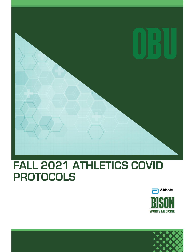# **FALL 2021 ATHLETICS COVID PROTOCOLS**



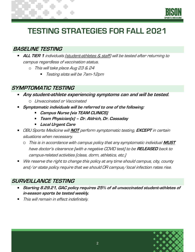

## **TESTING STRATEGIES FOR FALL 2021**

#### **BASELINE TESTING**

- **ALL TIER 1** individuals (student-athletes & staff) will be tested after returning to campus regardless of vaccination status.
	- o This will take place Aug 23 & 24
		- Testing slots will be 7am-12pm

#### **SYMPTOMATIC TESTING**

- **Any student-athlete experiencing symptoms can and will be tested.** 
	- o Unvaccinated or Vaccinated
- **Symptomatic individuals will be referred to one of the following:** 
	- **Campus Nurse (via TEAM CLINICS)**
	- **Team Physician(s) – Dr. Aldrich, Dr. Cassaday**  $\blacksquare$
	- **Local Urgent Care**
- OBU Sports Medicine will **NOT** perform symptomatic testing, **EXCEPT** in certain situations when necessary.
	- o This is in accordance with campus policy that any symptomatic individual **MUST** have doctor's clearance (with a negative COVID test) to be **RELEASED** back to campus-related activities (class, dorm, athletics, etc.)
- We reserve the right to change this policy at any time should campus, city, county and/or state policy require that we should OR campus/local infection rates rise.

### **SURVEILLANCE TESTING**

- **Starting 8.29.21, GAC policy requires 25% of all unvaccinated student-athletes of in-season sports be tested weekly.**
- This will remain in effect indefinitely.

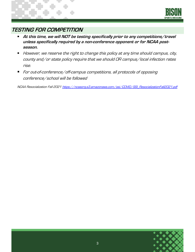

### **TESTING FOR COMPETITION**

- **At this time, we will NOT be testing specifically prior to any competitions/travel unless specifically required by a non-conference opponent or for NCAA postseason.**
- However, we reserve the right to change this policy at any time should campus, city, county and/or state policy require that we should OR campus/local infection rates rise.
- For out-of-conference/off-campus competitions, all protocols of opposing  $\blacksquare$ conference/school will be followed

NCAA Resocialization Fall 2021 [https://ncaaorg.s3.amazonaws.com/ssi/COVID/SSI\\_ResocializationFall2021.pdf](https://ncaaorg.s3.amazonaws.com/ssi/COVID/SSI_ResocializationFall2021.pdf)

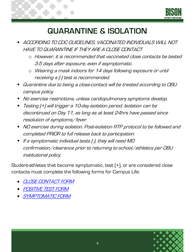

### **QUARANTINE & ISOLATION**

- ACCORDING TO CDC GUIDELINES, VACCINATED INDIVIDUALS WILL NOT HAVE TO QUARANTINE IF THEY ARE A CLOSE CONTACT
	- o However, it is recommended that vaccinated close contacts be tested 3-5 days after exposure, even if asymptomatic.
	- o Wearing a mask indoors for 14 days following exposure or until receiving a (-) test is recommended.
- Quarantine due to being a close-contact will be treated according to OBU campus policy.
- No exercise restrictions, unless cardiopulmonary symptoms develop.
- Testing (+) will trigger a 10-day isolation period. Isolation can be discontinued on Day 11, as long as at least 24hrs have passed since resolution of symptoms/fever.
- NO exercise during isolation. Post-isolation RTP protocol to be followed and completed PRIOR to full release back to participation.
- If a symptomatic individual tests (-), they will need MD confirmation/clearance prior to returning to school/athletics per OBU institutional policy.

Student-athletes that become symptomatic, test (+), or are considered close contacts must complete the following forms for Campus Life:

- [CLOSE CONTACT FORM](https://okbu.formstack.com/forms/covid_contact_notification)
- [POSITIVE TEST FORM](https://okbu.formstack.com/forms/covid_positive_form)
- [SYMPTOMATIC FORM](https://okbu.formstack.com/forms/covid_symptomatic_form)